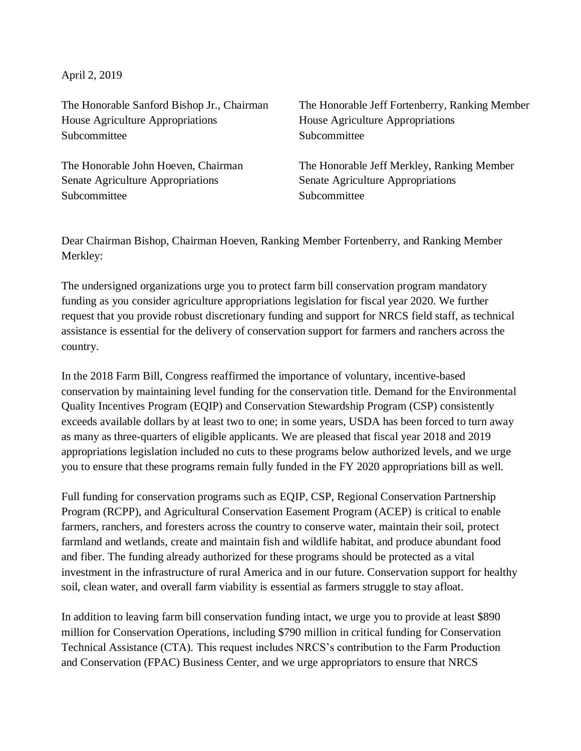April 2, 2019

The Honorable Sanford Bishop Jr., Chairman House Agriculture Appropriations Subcommittee

The Honorable John Hoeven, Chairman Senate Agriculture Appropriations Subcommittee

The Honorable Jeff Fortenberry, Ranking Member House Agriculture Appropriations Subcommittee

The Honorable Jeff Merkley, Ranking Member Senate Agriculture Appropriations Subcommittee

Dear Chairman Bishop, Chairman Hoeven, Ranking Member Fortenberry, and Ranking Member Merkley:

The undersigned organizations urge you to protect farm bill conservation program mandatory funding as you consider agriculture appropriations legislation for fiscal year 2020. We further request that you provide robust discretionary funding and support for NRCS field staff, as technical assistance is essential for the delivery of conservation support for farmers and ranchers across the country.

In the 2018 Farm Bill, Congress reaffirmed the importance of voluntary, incentive-based conservation by maintaining level funding for the conservation title. Demand for the Environmental Quality Incentives Program (EQIP) and Conservation Stewardship Program (CSP) consistently exceeds available dollars by at least two to one; in some years, USDA has been forced to turn away as many as three-quarters of eligible applicants. We are pleased that fiscal year 2018 and 2019 appropriations legislation included no cuts to these programs below authorized levels, and we urge you to ensure that these programs remain fully funded in the FY 2020 appropriations bill as well.

Full funding for conservation programs such as EQIP, CSP, Regional Conservation Partnership Program (RCPP), and Agricultural Conservation Easement Program (ACEP) is critical to enable farmers, ranchers, and foresters across the country to conserve water, maintain their soil, protect farmland and wetlands, create and maintain fish and wildlife habitat, and produce abundant food and fiber. The funding already authorized for these programs should be protected as a vital investment in the infrastructure of rural America and in our future. Conservation support for healthy soil, clean water, and overall farm viability is essential as farmers struggle to stay afloat.

In addition to leaving farm bill conservation funding intact, we urge you to provide at least \$890 million for Conservation Operations, including \$790 million in critical funding for Conservation Technical Assistance (CTA). This request includes NRCS's contribution to the Farm Production and Conservation (FPAC) Business Center, and we urge appropriators to ensure that NRCS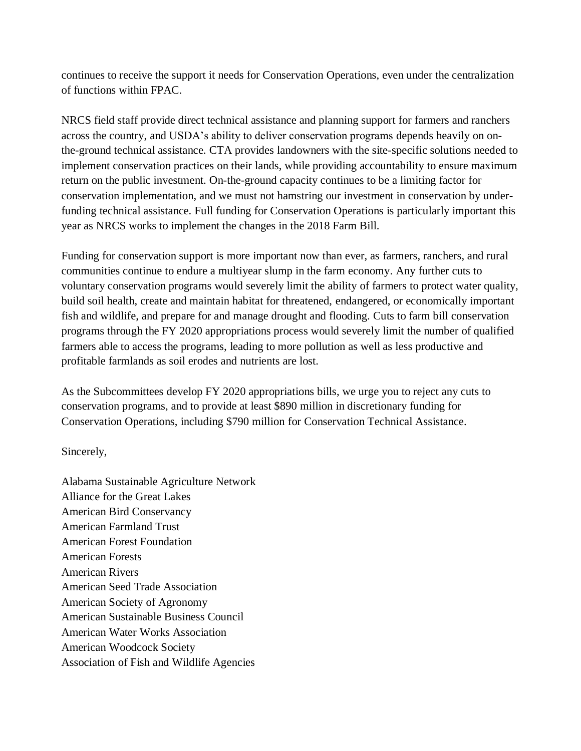continues to receive the support it needs for Conservation Operations, even under the centralization of functions within FPAC.

NRCS field staff provide direct technical assistance and planning support for farmers and ranchers across the country, and USDA's ability to deliver conservation programs depends heavily on onthe-ground technical assistance. CTA provides landowners with the site-specific solutions needed to implement conservation practices on their lands, while providing accountability to ensure maximum return on the public investment. On-the-ground capacity continues to be a limiting factor for conservation implementation, and we must not hamstring our investment in conservation by underfunding technical assistance. Full funding for Conservation Operations is particularly important this year as NRCS works to implement the changes in the 2018 Farm Bill.

Funding for conservation support is more important now than ever, as farmers, ranchers, and rural communities continue to endure a multiyear slump in the farm economy. Any further cuts to voluntary conservation programs would severely limit the ability of farmers to protect water quality, build soil health, create and maintain habitat for threatened, endangered, or economically important fish and wildlife, and prepare for and manage drought and flooding. Cuts to farm bill conservation programs through the FY 2020 appropriations process would severely limit the number of qualified farmers able to access the programs, leading to more pollution as well as less productive and profitable farmlands as soil erodes and nutrients are lost.

As the Subcommittees develop FY 2020 appropriations bills, we urge you to reject any cuts to conservation programs, and to provide at least \$890 million in discretionary funding for Conservation Operations, including \$790 million for Conservation Technical Assistance.

Sincerely,

Alabama Sustainable Agriculture Network Alliance for the Great Lakes American Bird Conservancy American Farmland Trust American Forest Foundation American Forests American Rivers American Seed Trade Association American Society of Agronomy American Sustainable Business Council American Water Works Association American Woodcock Society Association of Fish and Wildlife Agencies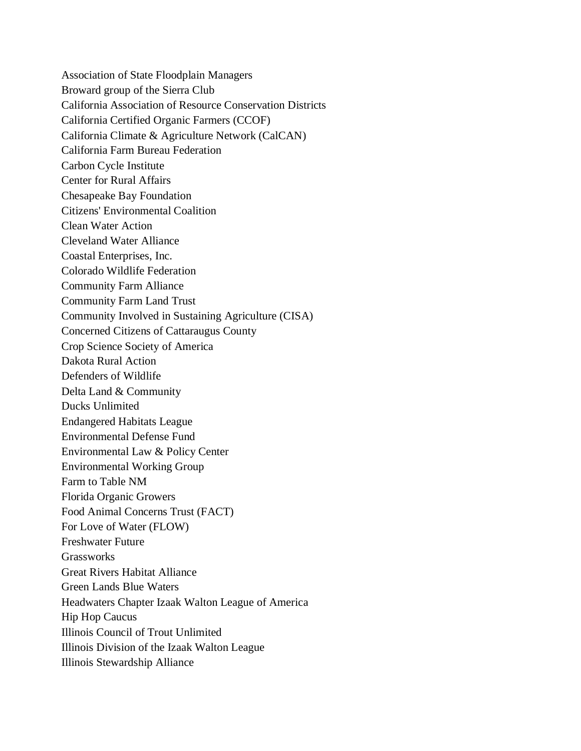Association of State Floodplain Managers Broward group of the Sierra Club California Association of Resource Conservation Districts California Certified Organic Farmers (CCOF) California Climate & Agriculture Network (CalCAN) California Farm Bureau Federation Carbon Cycle Institute Center for Rural Affairs Chesapeake Bay Foundation Citizens' Environmental Coalition Clean Water Action Cleveland Water Alliance Coastal Enterprises, Inc. Colorado Wildlife Federation Community Farm Alliance Community Farm Land Trust Community Involved in Sustaining Agriculture (CISA) Concerned Citizens of Cattaraugus County Crop Science Society of America Dakota Rural Action Defenders of Wildlife Delta Land & Community Ducks Unlimited Endangered Habitats League Environmental Defense Fund Environmental Law & Policy Center Environmental Working Group Farm to Table NM Florida Organic Growers Food Animal Concerns Trust (FACT) For Love of Water (FLOW) Freshwater Future **Grassworks** Great Rivers Habitat Alliance Green Lands Blue Waters Headwaters Chapter Izaak Walton League of America Hip Hop Caucus Illinois Council of Trout Unlimited Illinois Division of the Izaak Walton League Illinois Stewardship Alliance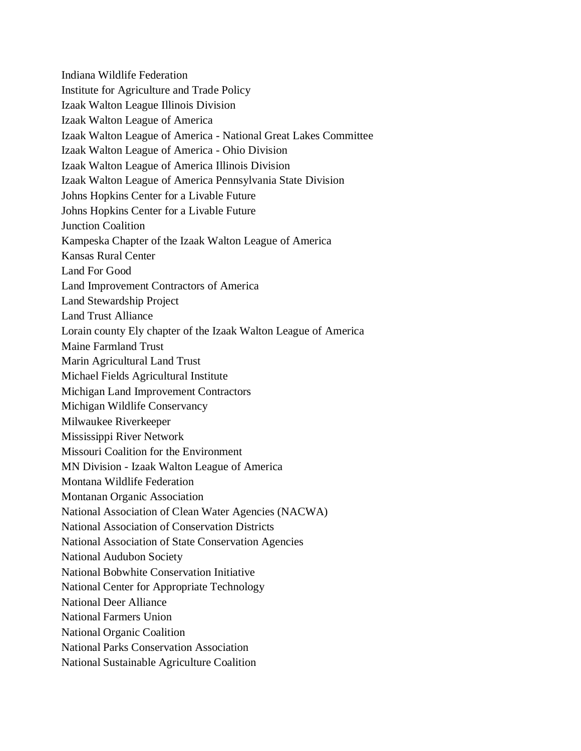Indiana Wildlife Federation Institute for Agriculture and Trade Policy Izaak Walton League Illinois Division Izaak Walton League of America Izaak Walton League of America - National Great Lakes Committee Izaak Walton League of America - Ohio Division Izaak Walton League of America Illinois Division Izaak Walton League of America Pennsylvania State Division Johns Hopkins Center for a Livable Future Johns Hopkins Center for a Livable Future Junction Coalition Kampeska Chapter of the Izaak Walton League of America Kansas Rural Center Land For Good Land Improvement Contractors of America Land Stewardship Project Land Trust Alliance Lorain county Ely chapter of the Izaak Walton League of America Maine Farmland Trust Marin Agricultural Land Trust Michael Fields Agricultural Institute Michigan Land Improvement Contractors Michigan Wildlife Conservancy Milwaukee Riverkeeper Mississippi River Network Missouri Coalition for the Environment MN Division - Izaak Walton League of America Montana Wildlife Federation Montanan Organic Association National Association of Clean Water Agencies (NACWA) National Association of Conservation Districts National Association of State Conservation Agencies National Audubon Society National Bobwhite Conservation Initiative National Center for Appropriate Technology National Deer Alliance National Farmers Union National Organic Coalition National Parks Conservation Association National Sustainable Agriculture Coalition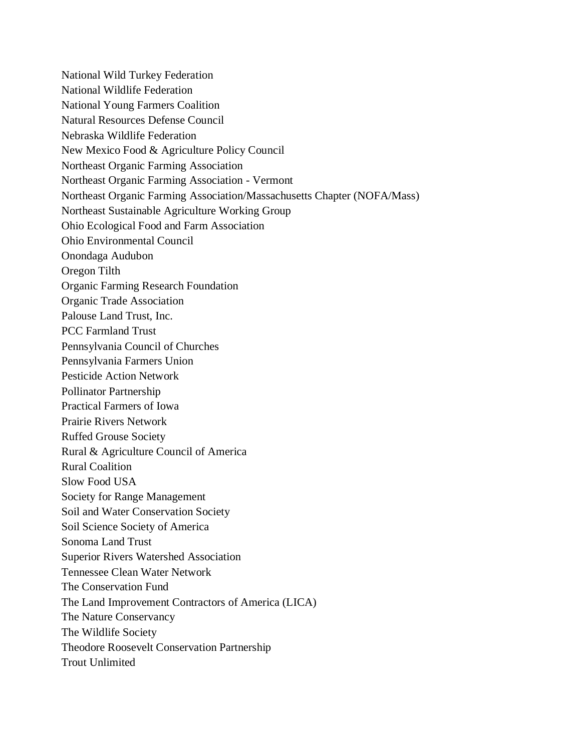National Wild Turkey Federation National Wildlife Federation National Young Farmers Coalition Natural Resources Defense Council Nebraska Wildlife Federation New Mexico Food & Agriculture Policy Council Northeast Organic Farming Association Northeast Organic Farming Association - Vermont Northeast Organic Farming Association/Massachusetts Chapter (NOFA/Mass) Northeast Sustainable Agriculture Working Group Ohio Ecological Food and Farm Association Ohio Environmental Council Onondaga Audubon Oregon Tilth Organic Farming Research Foundation Organic Trade Association Palouse Land Trust, Inc. PCC Farmland Trust Pennsylvania Council of Churches Pennsylvania Farmers Union Pesticide Action Network Pollinator Partnership Practical Farmers of Iowa Prairie Rivers Network Ruffed Grouse Society Rural & Agriculture Council of America Rural Coalition Slow Food USA Society for Range Management Soil and Water Conservation Society Soil Science Society of America Sonoma Land Trust Superior Rivers Watershed Association Tennessee Clean Water Network The Conservation Fund The Land Improvement Contractors of America (LICA) The Nature Conservancy The Wildlife Society Theodore Roosevelt Conservation Partnership Trout Unlimited